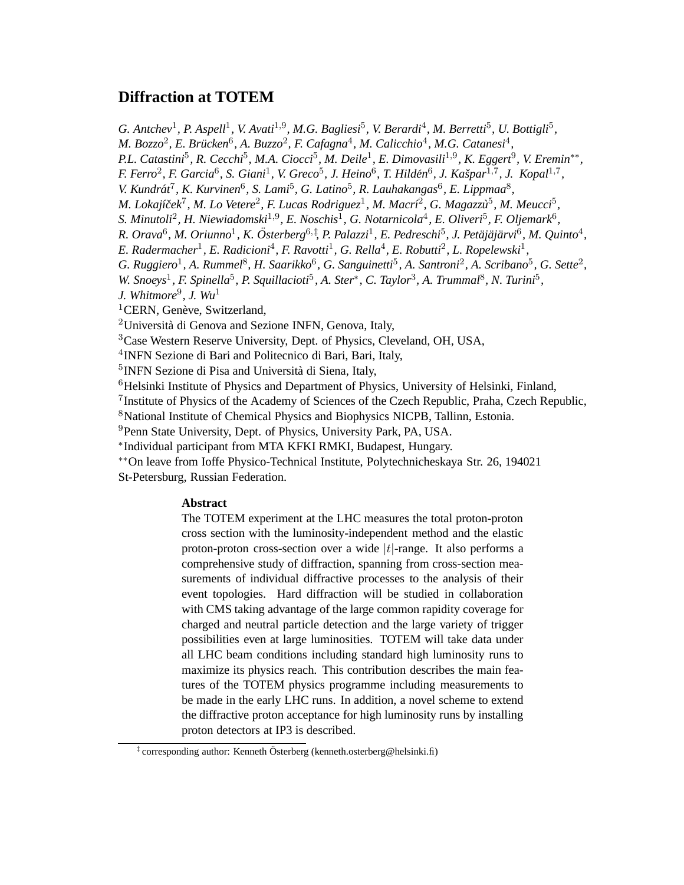# **Diffraction at TOTEM**

G. Antchev<sup>1</sup>, P. Aspell<sup>1</sup>, V. Avati<sup>1,9</sup>, M.G. Bagliesi<sup>5</sup>, V. Berardi<sup>4</sup>, M. Berretti<sup>5</sup>, U. Bottigli<sup>5</sup>,

*M. Bozzo<sup>2</sup>, E. Brücken*<sup>6</sup>, A. *Buzzo<sup>2</sup>, F. Cafagna*<sup>4</sup>, *M. Calicchio*<sup>4</sup>, *M.G. Catanesi*<sup>4</sup>,

*P.L. Catastini*<sup>5</sup> *, R. Cecchi*<sup>5</sup> *, M.A. Ciocci*<sup>5</sup> *, M. Deile*<sup>1</sup> *, E. Dimovasili*1,<sup>9</sup> *, K. Eggert*<sup>9</sup> *, V. Eremin*∗∗ *,*

*F. Ferro*<sup>2</sup>, *F. Garcia*<sup>6</sup>, *S. Giani*<sup>1</sup>, *V. Greco*<sup>5</sup>, *J. Heino*<sup>6</sup>, *T. Hildén*<sup>6</sup>, *J. Kašpar*<sup>1,7</sup>, *J. Kopal*<sup>1,7</sup>,

V. Kundrát<sup>7</sup>, K. Kurvinen<sup>6</sup>, S. Lami<sup>5</sup>, G. Latino<sup>5</sup>, R. Lauhakangas<sup>6</sup>, E. Lippmaa<sup>8</sup>,

*M. Lokajíček<sup>7</sup>, M. Lo Vetere<sup>2</sup>, F. Lucas Rodriguez<sup>1</sup>, M. Macrí<sup>2</sup>, G. Magazzu<sup>5</sup>, M. Meucci<sup>5</sup>,* 

*S. Minutoli*<sup>2</sup> *, H. Niewiadomski*1,<sup>9</sup> *, E. Noschis*<sup>1</sup> *, G. Notarnicola*<sup>4</sup> *, E. Oliveri*<sup>5</sup> *, F. Oljemark*<sup>6</sup> *,*

R. Orava<sup>6</sup>, M. Oriunno<sup>1</sup>, K. Österberg<sup>6, †</sup>, P. Palazzi<sup>1</sup>, E. Pedreschi<sup>5</sup>, J. Petäjäjärvi<sup>6</sup>, M. Quinto<sup>4</sup>,

E. Radermacher<sup>1</sup>, E. Radicioni<sup>4</sup>, F. Ravotti<sup>1</sup>, G. Rella<sup>4</sup>, E. Robutti<sup>2</sup>, L. Ropelewski<sup>1</sup>,

G. Ruggiero<sup>1</sup>, A. Rummel<sup>8</sup>, H. Saarikko<sup>6</sup>, G. Sanguinetti<sup>5</sup>, A. Santroni<sup>2</sup>, A. Scribano<sup>5</sup>, G. Sette<sup>2</sup>,

*W. Snoeys*<sup>1</sup>, *F. Spinella*<sup>5</sup>, *P. Squillacioti*<sup>5</sup>, *A. Ster*<sup>\*</sup>, *C. Taylor*<sup>3</sup>, *A. Trummal*<sup>8</sup>, *N. Turini*<sup>5</sup>,

*J. Whitmore*<sup>9</sup> *, J. Wu*<sup>1</sup>

 ${}^{1}$ CERN, Genève, Switzerland,

<sup>2</sup>Università di Genova and Sezione INFN, Genova, Italy,

<sup>3</sup>Case Western Reserve University, Dept. of Physics, Cleveland, OH, USA,

4 INFN Sezione di Bari and Politecnico di Bari, Bari, Italy,

<sup>5</sup> INFN Sezione di Pisa and Università di Siena, Italy,

 ${}^{6}$ Helsinki Institute of Physics and Department of Physics, University of Helsinki, Finland,

<sup>7</sup> Institute of Physics of the Academy of Sciences of the Czech Republic, Praha, Czech Republic,

<sup>8</sup>National Institute of Chemical Physics and Biophysics NICPB, Tallinn, Estonia.

<sup>9</sup>Penn State University, Dept. of Physics, University Park, PA, USA.

∗ Individual participant from MTA KFKI RMKI, Budapest, Hungary.

∗∗On leave from Ioffe Physico-Technical Institute, Polytechnicheskaya Str. 26, 194021 St-Petersburg, Russian Federation.

# **Abstract**

The TOTEM experiment at the LHC measures the total proton-proton cross section with the luminosity-independent method and the elastic proton-proton cross-section over a wide  $|t|$ -range. It also performs a comprehensive study of diffraction, spanning from cross-section measurements of individual diffractive processes to the analysis of their event topologies. Hard diffraction will be studied in collaboration with CMS taking advantage of the large common rapidity coverage for charged and neutral particle detection and the large variety of trigger possibilities even at large luminosities. TOTEM will take data under all LHC beam conditions including standard high luminosity runs to maximize its physics reach. This contribution describes the main features of the TOTEM physics programme including measurements to be made in the early LHC runs. In addition, a novel scheme to extend the diffractive proton acceptance for high luminosity runs by installing proton detectors at IP3 is described.

<sup>&</sup>lt;sup>‡</sup> corresponding author: Kenneth Österberg (kenneth.osterberg@helsinki.fi)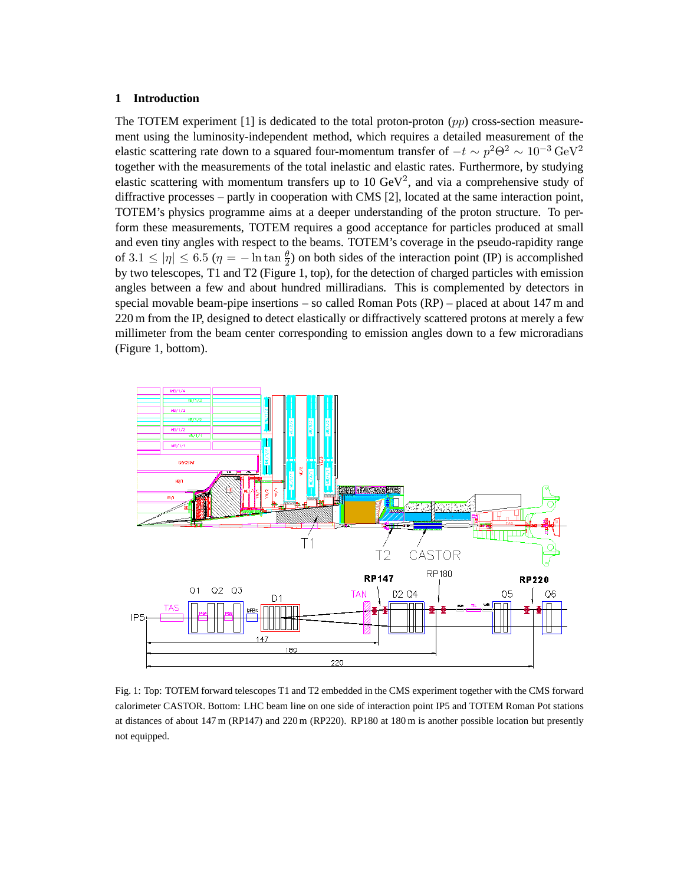# **1 Introduction**

The TOTEM experiment [1] is dedicated to the total proton-proton (pp) cross-section measurement using the luminosity-independent method, which requires a detailed measurement of the elastic scattering rate down to a squared four-momentum transfer of  $-t \sim p^2\Theta^2 \sim 10^{-3} \text{ GeV}^2$ together with the measurements of the total inelastic and elastic rates. Furthermore, by studying elastic scattering with momentum transfers up to  $10 \text{ GeV}^2$ , and via a comprehensive study of diffractive processes – partly in cooperation with CMS [2], located at the same interaction point, TOTEM's physics programme aims at a deeper understanding of the proton structure. To perform these measurements, TOTEM requires a good acceptance for particles produced at small and even tiny angles with respect to the beams. TOTEM's coverage in the pseudo-rapidity range of  $3.1 \le |\eta| \le 6.5$  ( $\eta = -\ln \tan \frac{\theta}{2}$ ) on both sides of the interaction point (IP) is accomplished by two telescopes, T1 and T2 (Figure 1, top), for the detection of charged particles with emission angles between a few and about hundred milliradians. This is complemented by detectors in special movable beam-pipe insertions – so called Roman Pots (RP) – placed at about 147 m and 220 m from the IP, designed to detect elastically or diffractively scattered protons at merely a few millimeter from the beam center corresponding to emission angles down to a few microradians (Figure 1, bottom).



Fig. 1: Top: TOTEM forward telescopes T1 and T2 embedded in the CMS experiment together with the CMS forward calorimeter CASTOR. Bottom: LHC beam line on one side of interaction point IP5 and TOTEM Roman Pot stations at distances of about 147 m (RP147) and 220 m (RP220). RP180 at 180 m is another possible location but presently not equipped.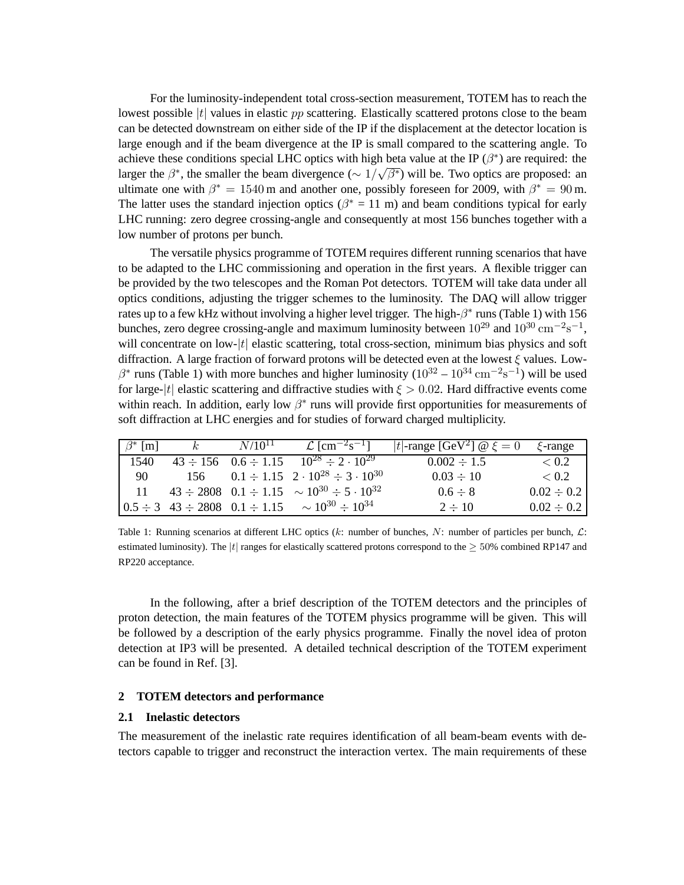For the luminosity-independent total cross-section measurement, TOTEM has to reach the lowest possible  $|t|$  values in elastic pp scattering. Elastically scattered protons close to the beam can be detected downstream on either side of the IP if the displacement at the detector location is large enough and if the beam divergence at the IP is small compared to the scattering angle. To achieve these conditions special LHC optics with high beta value at the IP  $(\beta^*)$  are required: the larger the  $\beta^*$ , the smaller the beam divergence ( $\sim 1/\sqrt{\beta^*}$ ) will be. Two optics are proposed: an ultimate one with  $\beta^* = 1540$  m and another one, possibly foreseen for 2009, with  $\beta^* = 90$  m. The latter uses the standard injection optics ( $\beta^* = 11$  m) and beam conditions typical for early LHC running: zero degree crossing-angle and consequently at most 156 bunches together with a low number of protons per bunch.

The versatile physics programme of TOTEM requires different running scenarios that have to be adapted to the LHC commissioning and operation in the first years. A flexible trigger can be provided by the two telescopes and the Roman Pot detectors. TOTEM will take data under all optics conditions, adjusting the trigger schemes to the luminosity. The DAQ will allow trigger rates up to a few kHz without involving a higher level trigger. The high- $\beta^*$  runs (Table 1) with 156 bunches, zero degree crossing-angle and maximum luminosity between  $10^{29}$  and  $10^{30}$  cm<sup>-2</sup>s<sup>-1</sup>, will concentrate on low- $|t|$  elastic scattering, total cross-section, minimum bias physics and soft diffraction. A large fraction of forward protons will be detected even at the lowest ξ values. Low- $\beta^*$  runs (Table 1) with more bunches and higher luminosity ( $10^{32} - 10^{34}$  cm<sup>-2</sup>s<sup>-1</sup>) will be used for large-|t| elastic scattering and diffractive studies with  $\xi > 0.02$ . Hard diffractive events come within reach. In addition, early low  $\beta^*$  runs will provide first opportunities for measurements of soft diffraction at LHC energies and for studies of forward charged multiplicity.

| $\beta^*$ [m] | $k_{\rm}$ | $N/10^{11}$ | $\mathcal{L}$ [cm <sup>-2</sup> s <sup>-1</sup> ]                                                     | t -range [GeV <sup>2</sup> ] $\omega \xi = 0$ | $\xi$ -range    |
|---------------|-----------|-------------|-------------------------------------------------------------------------------------------------------|-----------------------------------------------|-----------------|
| 1540          |           |             | $43 \div 156$ $0.6 \div 1.15$ $10^{28} \div 2 \cdot 10^{29}$                                          | $0.002 \div 1.5$                              | < 0.2           |
| 90            |           |             | 156 $0.1 \div 1.15$ $2 \cdot 10^{28} \div 3 \cdot 10^{30}$                                            | $0.03 \div 10$                                | ~< 0.2          |
| -11           |           |             | $43 \div 2808$ $0.1 \div 1.15$ $\sim 10^{30} \div 5 \cdot 10^{32}$                                    | $0.6 \div 8$                                  | $0.02 \div 0.2$ |
|               |           |             | $\begin{bmatrix} 0.5 \div 3 & 43 \div 2808 & 0.1 \div 1.15 & \sim 10^{30} \div 10^{34} \end{bmatrix}$ | $2 \div 10$                                   | $0.02 \div 0.2$ |

Table 1: Running scenarios at different LHC optics  $(k:$  number of bunches,  $N:$  number of particles per bunch,  $\mathcal{L}:$ estimated luminosity). The |t| ranges for elastically scattered protons correspond to the  $\geq$  50% combined RP147 and RP220 acceptance.

In the following, after a brief description of the TOTEM detectors and the principles of proton detection, the main features of the TOTEM physics programme will be given. This will be followed by a description of the early physics programme. Finally the novel idea of proton detection at IP3 will be presented. A detailed technical description of the TOTEM experiment can be found in Ref. [3].

# **2 TOTEM detectors and performance**

#### **2.1 Inelastic detectors**

The measurement of the inelastic rate requires identification of all beam-beam events with detectors capable to trigger and reconstruct the interaction vertex. The main requirements of these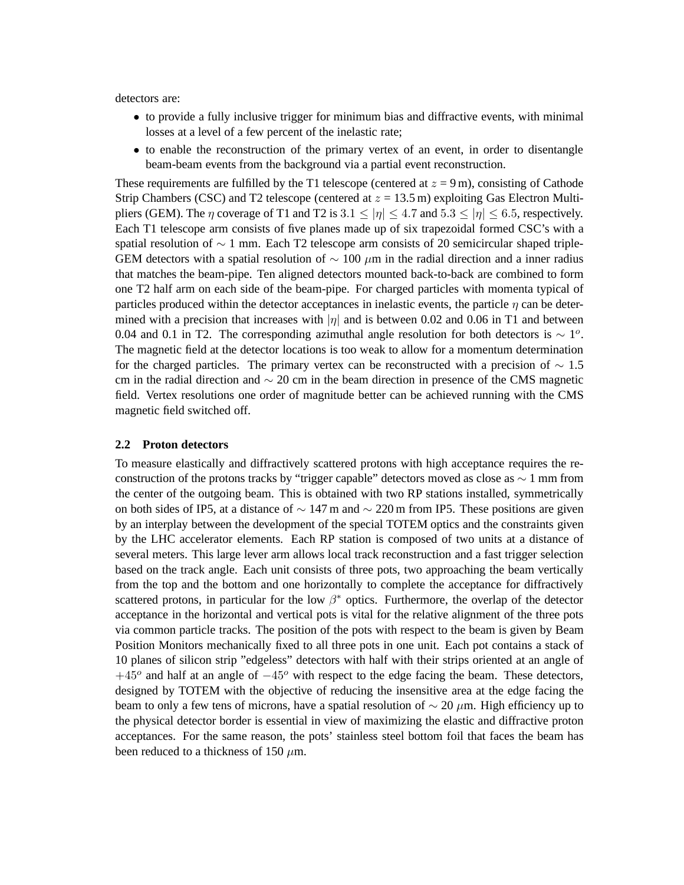detectors are:

- to provide a fully inclusive trigger for minimum bias and diffractive events, with minimal losses at a level of a few percent of the inelastic rate;
- to enable the reconstruction of the primary vertex of an event, in order to disentangle beam-beam events from the background via a partial event reconstruction.

These requirements are fulfilled by the T1 telescope (centered at  $z = 9$  m), consisting of Cathode Strip Chambers (CSC) and T2 telescope (centered at  $z = 13.5$  m) exploiting Gas Electron Multipliers (GEM). The  $\eta$  coverage of T1 and T2 is 3.1  $\leq |\eta| \leq 4.7$  and  $5.3 \leq |\eta| \leq 6.5$ , respectively. Each T1 telescope arm consists of five planes made up of six trapezoidal formed CSC's with a spatial resolution of  $\sim$  1 mm. Each T2 telescope arm consists of 20 semicircular shaped triple-GEM detectors with a spatial resolution of  $\sim 100 \mu m$  in the radial direction and a inner radius that matches the beam-pipe. Ten aligned detectors mounted back-to-back are combined to form one T2 half arm on each side of the beam-pipe. For charged particles with momenta typical of particles produced within the detector acceptances in inelastic events, the particle  $\eta$  can be determined with a precision that increases with  $|\eta|$  and is between 0.02 and 0.06 in T1 and between 0.04 and 0.1 in T2. The corresponding azimuthal angle resolution for both detectors is  $\sim 1^{\circ}$ . The magnetic field at the detector locations is too weak to allow for a momentum determination for the charged particles. The primary vertex can be reconstructed with a precision of  $\sim 1.5$ cm in the radial direction and ∼ 20 cm in the beam direction in presence of the CMS magnetic field. Vertex resolutions one order of magnitude better can be achieved running with the CMS magnetic field switched off.

### **2.2 Proton detectors**

To measure elastically and diffractively scattered protons with high acceptance requires the reconstruction of the protons tracks by "trigger capable" detectors moved as close as ∼ 1 mm from the center of the outgoing beam. This is obtained with two RP stations installed, symmetrically on both sides of IP5, at a distance of  $\sim$  147 m and  $\sim$  220 m from IP5. These positions are given by an interplay between the development of the special TOTEM optics and the constraints given by the LHC accelerator elements. Each RP station is composed of two units at a distance of several meters. This large lever arm allows local track reconstruction and a fast trigger selection based on the track angle. Each unit consists of three pots, two approaching the beam vertically from the top and the bottom and one horizontally to complete the acceptance for diffractively scattered protons, in particular for the low  $\beta^*$  optics. Furthermore, the overlap of the detector acceptance in the horizontal and vertical pots is vital for the relative alignment of the three pots via common particle tracks. The position of the pots with respect to the beam is given by Beam Position Monitors mechanically fixed to all three pots in one unit. Each pot contains a stack of 10 planes of silicon strip "edgeless" detectors with half with their strips oriented at an angle of  $+45^{\circ}$  and half at an angle of  $-45^{\circ}$  with respect to the edge facing the beam. These detectors, designed by TOTEM with the objective of reducing the insensitive area at the edge facing the beam to only a few tens of microns, have a spatial resolution of  $\sim$  20  $\mu$ m. High efficiency up to the physical detector border is essential in view of maximizing the elastic and diffractive proton acceptances. For the same reason, the pots' stainless steel bottom foil that faces the beam has been reduced to a thickness of 150  $\mu$ m.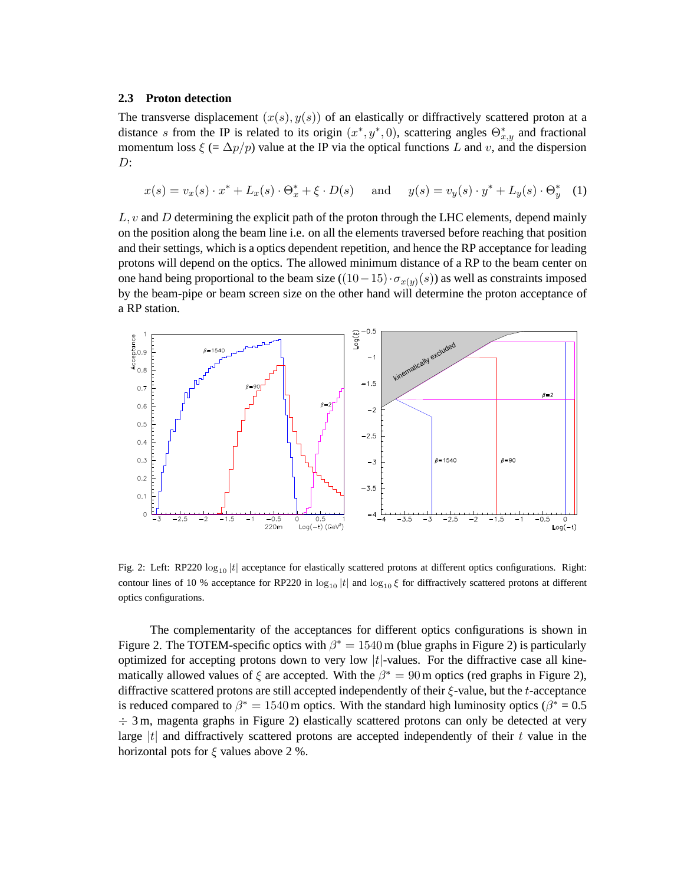### **2.3 Proton detection**

The transverse displacement  $(x(s), y(s))$  of an elastically or diffractively scattered proton at a distance s from the IP is related to its origin  $(x^*, y^*, 0)$ , scattering angles  $\Theta_{x,y}^*$  and fractional momentum loss  $\xi$  (=  $\Delta p/p$ ) value at the IP via the optical functions L and v, and the dispersion  $D$ :

$$
x(s) = v_x(s) \cdot x^* + L_x(s) \cdot \Theta_x^* + \xi \cdot D(s) \quad \text{and} \quad y(s) = v_y(s) \cdot y^* + L_y(s) \cdot \Theta_y^* \quad (1)
$$

 $L, v$  and D determining the explicit path of the proton through the LHC elements, depend mainly on the position along the beam line i.e. on all the elements traversed before reaching that position and their settings, which is a optics dependent repetition, and hence the RP acceptance for leading protons will depend on the optics. The allowed minimum distance of a RP to the beam center on one hand being proportional to the beam size  $((10-15)\cdot\sigma_{x(y)}(s))$  as well as constraints imposed by the beam-pipe or beam screen size on the other hand will determine the proton acceptance of a RP station.



Fig. 2: Left: RP220  $\log_{10} |t|$  acceptance for elastically scattered protons at different optics configurations. Right: contour lines of 10 % acceptance for RP220 in  $\log_{10} |t|$  and  $\log_{10} \xi$  for diffractively scattered protons at different optics configurations.

The complementarity of the acceptances for different optics configurations is shown in Figure 2. The TOTEM-specific optics with  $\beta^* = 1540$  m (blue graphs in Figure 2) is particularly optimized for accepting protons down to very low  $|t|$ -values. For the diffractive case all kinematically allowed values of  $\xi$  are accepted. With the  $\beta^* = 90$  m optics (red graphs in Figure 2), diffractive scattered protons are still accepted independently of their ξ-value, but the t-acceptance is reduced compared to  $\beta^* = 1540$  m optics. With the standard high luminosity optics ( $\beta^* = 0.5$  $\div$  3 m, magenta graphs in Figure 2) elastically scattered protons can only be detected at very large  $|t|$  and diffractively scattered protons are accepted independently of their t value in the horizontal pots for  $\xi$  values above 2 %.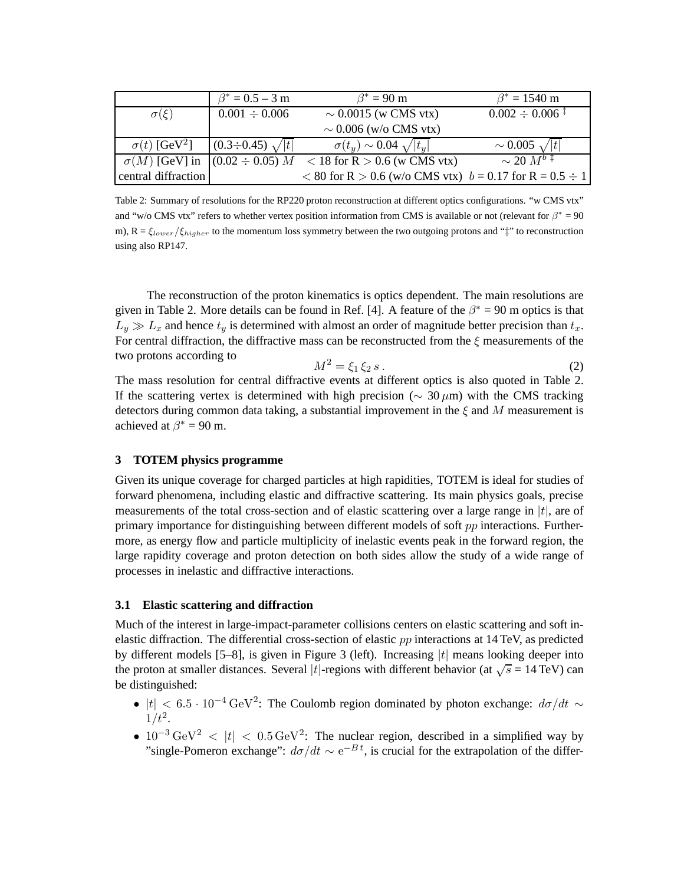|                                           | $\beta^* = 0.5 - 3$ m         | $\beta^*$ = 90 m                                                   | $\beta^* = 1540 \text{ m}$    |
|-------------------------------------------|-------------------------------|--------------------------------------------------------------------|-------------------------------|
| $\sigma(\xi)$                             | $0.001 \div 0.006$            | $\sim 0.0015$ (w CMS vtx)                                          | $0.002 \div 0.006^{\text{+}}$ |
|                                           |                               | $\sim 0.006$ (w/o CMS vtx)                                         |                               |
| $\sigma(t)$ [GeV <sup>2</sup> ]           | $ (0.3 \div 0.45) \sqrt{ t }$ | $\sigma(t_u) \sim 0.04 \sqrt{ t_u }$                               | $\sim 0.005 \sqrt{ t }$       |
| $\sigma(M)$ [GeV] in $(0.02 \div 0.05) M$ |                               | $<$ 18 for R $>$ 0.6 (w CMS vtx)                                   | $\sim$ 20 $M^{b}$ ‡           |
| central diffraction                       |                               | $< 80$ for R $> 0.6$ (w/o CMS vtx) $b = 0.17$ for R = $0.5 \div 1$ |                               |

Table 2: Summary of resolutions for the RP220 proton reconstruction at different optics configurations. "w CMS vtx" and "w/o CMS vtx" refers to whether vertex position information from CMS is available or not (relevant for  $\beta^* = 90$ m),  $R = \xi_{lower}/\xi_{higher}$  to the momentum loss symmetry between the two outgoing protons and " $\ddagger$ " to reconstruction using also RP147.

The reconstruction of the proton kinematics is optics dependent. The main resolutions are given in Table 2. More details can be found in Ref. [4]. A feature of the  $\beta^* = 90$  m optics is that  $L_y \gg L_x$  and hence  $t_y$  is determined with almost an order of magnitude better precision than  $t_x$ . For central diffraction, the diffractive mass can be reconstructed from the  $\xi$  measurements of the two protons according to

$$
M^2 = \xi_1 \, \xi_2 \, s \,. \tag{2}
$$

The mass resolution for central diffractive events at different optics is also quoted in Table 2. If the scattering vertex is determined with high precision ( $\sim 30 \,\mu$ m) with the CMS tracking detectors during common data taking, a substantial improvement in the  $\xi$  and M measurement is achieved at  $\beta^* = 90$  m.

# **3 TOTEM physics programme**

Given its unique coverage for charged particles at high rapidities, TOTEM is ideal for studies of forward phenomena, including elastic and diffractive scattering. Its main physics goals, precise measurements of the total cross-section and of elastic scattering over a large range in  $|t|$ , are of primary importance for distinguishing between different models of soft  $pp$  interactions. Furthermore, as energy flow and particle multiplicity of inelastic events peak in the forward region, the large rapidity coverage and proton detection on both sides allow the study of a wide range of processes in inelastic and diffractive interactions.

## **3.1 Elastic scattering and diffraction**

Much of the interest in large-impact-parameter collisions centers on elastic scattering and soft inelastic diffraction. The differential cross-section of elastic  $pp$  interactions at 14 TeV, as predicted by different models  $[5-8]$ , is given in Figure 3 (left). Increasing  $|t|$  means looking deeper into the proton at smaller distances. Several |t|-regions with different behavior (at  $\sqrt{s} = 14$  TeV) can be distinguished:

- $|t| < 6.5 \cdot 10^{-4} \,\text{GeV}^2$ : The Coulomb region dominated by photon exchange:  $d\sigma/dt \sim$  $1/t^2$ .
- $10^{-3} \text{ GeV}^2$  < |t| <  $0.5 \text{ GeV}^2$ : The nuclear region, described in a simplified way by "single-Pomeron exchange":  $d\sigma/dt \sim e^{-Bt}$ , is crucial for the extrapolation of the differ-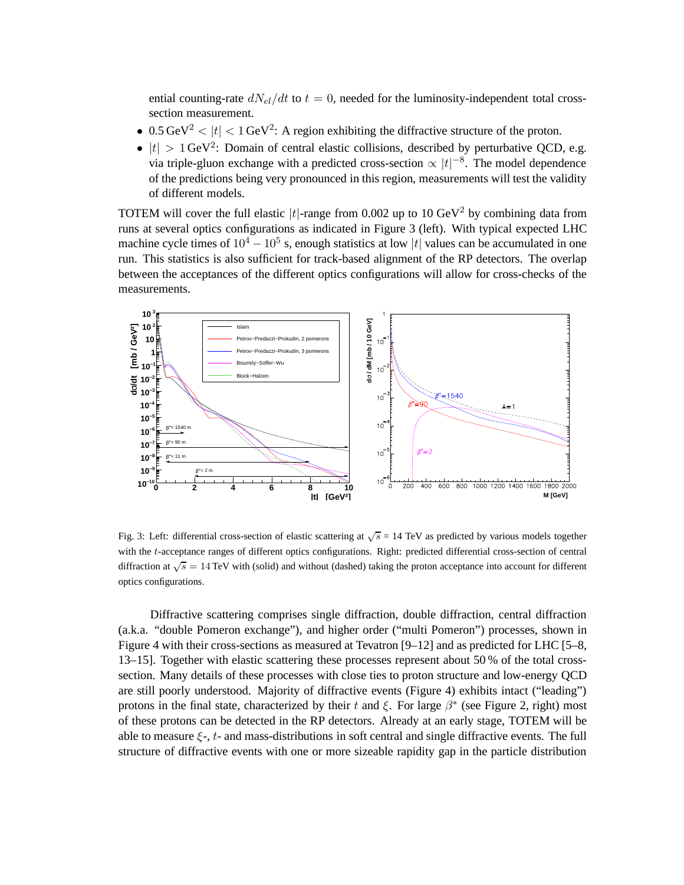ential counting-rate  $dN_{el}/dt$  to  $t = 0$ , needed for the luminosity-independent total crosssection measurement.

- 0.5 GeV<sup>2</sup>  $|t|$  < 1 GeV<sup>2</sup>: A region exhibiting the diffractive structure of the proton.
- $|t| > 1$  GeV<sup>2</sup>: Domain of central elastic collisions, described by perturbative QCD, e.g. via triple-gluon exchange with a predicted cross-section  $\propto |t|^{-8}$ . The model dependence of the predictions being very pronounced in this region, measurements will test the validity of different models.

TOTEM will cover the full elastic  $|t|$ -range from 0.002 up to 10 GeV<sup>2</sup> by combining data from runs at several optics configurations as indicated in Figure 3 (left). With typical expected LHC machine cycle times of  $10^4 - 10^5$  s, enough statistics at low |t| values can be accumulated in one run. This statistics is also sufficient for track-based alignment of the RP detectors. The overlap between the acceptances of the different optics configurations will allow for cross-checks of the measurements.



Fig. 3: Left: differential cross-section of elastic scattering at  $\sqrt{s}$  = 14 TeV as predicted by various models together with the t-acceptance ranges of different optics configurations. Right: predicted differential cross-section of central diffraction at  $\sqrt{s} = 14$  TeV with (solid) and without (dashed) taking the proton acceptance into account for different optics configurations.

Diffractive scattering comprises single diffraction, double diffraction, central diffraction (a.k.a. "double Pomeron exchange"), and higher order ("multi Pomeron") processes, shown in Figure 4 with their cross-sections as measured at Tevatron [9–12] and as predicted for LHC [5–8, 13–15]. Together with elastic scattering these processes represent about 50 % of the total crosssection. Many details of these processes with close ties to proton structure and low-energy QCD are still poorly understood. Majority of diffractive events (Figure 4) exhibits intact ("leading") protons in the final state, characterized by their t and  $\xi$ . For large  $\beta^*$  (see Figure 2, right) most of these protons can be detected in the RP detectors. Already at an early stage, TOTEM will be able to measure  $\xi$ -,  $t$ - and mass-distributions in soft central and single diffractive events. The full structure of diffractive events with one or more sizeable rapidity gap in the particle distribution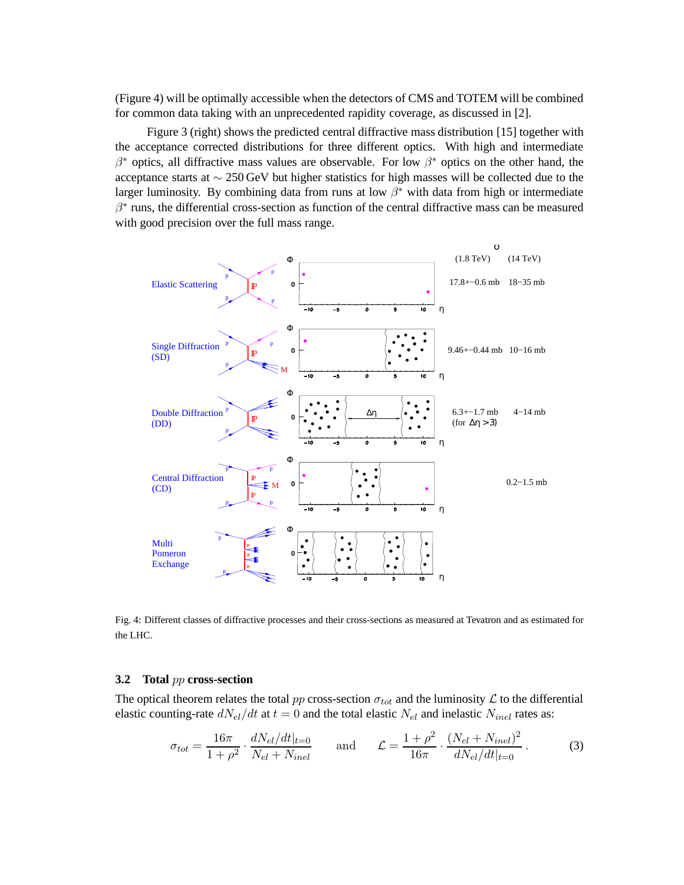(Figure 4) will be optimally accessible when the detectors of CMS and TOTEM will be combined for common data taking with an unprecedented rapidity coverage, as discussed in [2].

Figure 3 (right) shows the predicted central diffractive mass distribution [15] together with the acceptance corrected distributions for three different optics. With high and intermediate  $\beta^*$  optics, all diffractive mass values are observable. For low  $\beta^*$  optics on the other hand, the acceptance starts at ∼ 250 GeV but higher statistics for high masses will be collected due to the larger luminosity. By combining data from runs at low  $\beta^*$  with data from high or intermediate  $\beta^*$  runs, the differential cross-section as function of the central diffractive mass can be measured with good precision over the full mass range.



Fig. 4: Different classes of diffractive processes and their cross-sections as measured at Tevatron and as estimated for the LHC.

#### **3.2 Total** pp **cross-section**

The optical theorem relates the total pp cross-section  $\sigma_{tot}$  and the luminosity  $\mathcal L$  to the differential elastic counting-rate  $dN_{el}/dt$  at  $t = 0$  and the total elastic  $N_{el}$  and inelastic  $N_{inel}$  rates as:

$$
\sigma_{tot} = \frac{16\pi}{1+\rho^2} \cdot \frac{dN_{el}/dt|_{t=0}}{N_{el} + N_{inel}} \quad \text{and} \quad \mathcal{L} = \frac{1+\rho^2}{16\pi} \cdot \frac{(N_{el} + N_{inel})^2}{dN_{el}/dt|_{t=0}} \,. \tag{3}
$$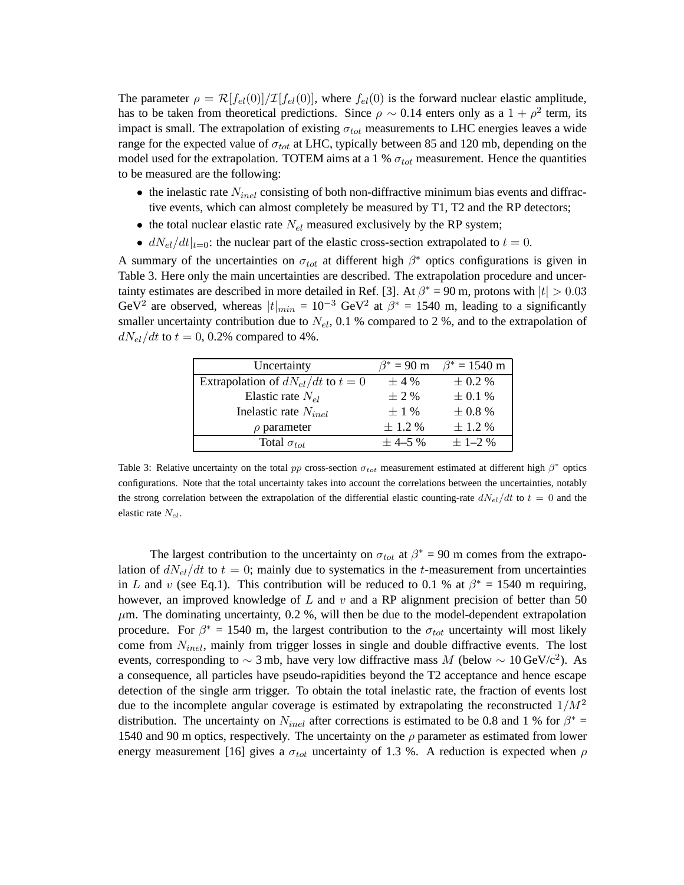The parameter  $\rho = \mathcal{R}[f_{el}(0)]/\mathcal{I}[f_{el}(0)]$ , where  $f_{el}(0)$  is the forward nuclear elastic amplitude, has to be taken from theoretical predictions. Since  $\rho \sim 0.14$  enters only as a  $1 + \rho^2$  term, its impact is small. The extrapolation of existing  $\sigma_{tot}$  measurements to LHC energies leaves a wide range for the expected value of  $\sigma_{tot}$  at LHC, typically between 85 and 120 mb, depending on the model used for the extrapolation. TOTEM aims at a 1 %  $\sigma_{tot}$  measurement. Hence the quantities to be measured are the following:

- the inelastic rate  $N_{inel}$  consisting of both non-diffractive minimum bias events and diffractive events, which can almost completely be measured by T1, T2 and the RP detectors;
- the total nuclear elastic rate  $N_{el}$  measured exclusively by the RP system;
- $dN_{el}/dt|_{t=0}$ : the nuclear part of the elastic cross-section extrapolated to  $t = 0$ .

A summary of the uncertainties on  $\sigma_{tot}$  at different high  $\beta^*$  optics configurations is given in Table 3. Here only the main uncertainties are described. The extrapolation procedure and uncertainty estimates are described in more detailed in Ref. [3]. At  $\beta^* = 90$  m, protons with  $|t| > 0.03$ GeV<sup>2</sup> are observed, whereas  $|t|_{min} = 10^{-3}$  GeV<sup>2</sup> at  $\beta^* = 1540$  m, leading to a significantly smaller uncertainty contribution due to  $N_{el}$ , 0.1 % compared to 2 %, and to the extrapolation of  $dN_{el}/dt$  to  $t = 0, 0.2\%$  compared to 4%.

| Uncertainty                            | $\beta^* = 90$ m | $\beta^* = 1540 \text{ m}$ |
|----------------------------------------|------------------|----------------------------|
| Extrapolation of $dN_{el}/dt$ to $t=0$ | $\pm$ 4 %        | $\pm$ 0.2 %                |
| Elastic rate $N_{el}$                  | $\pm$ 2 %        | $\pm$ 0.1 %                |
| Inelastic rate $N_{inel}$              | $\pm$ 1 %        | $\pm$ 0.8 %                |
| $\rho$ parameter                       | $\pm$ 1.2 %      | $\pm$ 1.2 %                |
| Total $\sigma_{tot}$                   | $\pm$ 4-5 %      | $\pm$ 1-2 %                |

Table 3: Relative uncertainty on the total pp cross-section  $\sigma_{tot}$  measurement estimated at different high  $\beta^*$  optics configurations. Note that the total uncertainty takes into account the correlations between the uncertainties, notably the strong correlation between the extrapolation of the differential elastic counting-rate  $dN_{el}/dt$  to  $t = 0$  and the elastic rate  $N_{el}$ .

The largest contribution to the uncertainty on  $\sigma_{tot}$  at  $\beta^* = 90$  m comes from the extrapolation of  $dN_{el}/dt$  to  $t = 0$ ; mainly due to systematics in the t-measurement from uncertainties in L and v (see Eq.1). This contribution will be reduced to 0.1 % at  $\beta^* = 1540$  m requiring, however, an improved knowledge of L and v and a RP alignment precision of better than 50  $\mu$ m. The dominating uncertainty, 0.2 %, will then be due to the model-dependent extrapolation procedure. For  $\beta^* = 1540$  m, the largest contribution to the  $\sigma_{tot}$  uncertainty will most likely come from  $N_{inel}$ , mainly from trigger losses in single and double diffractive events. The lost events, corresponding to  $\sim$  3 mb, have very low diffractive mass M (below  $\sim 10 \,\text{GeV/c}^2$ ). As a consequence, all particles have pseudo-rapidities beyond the T2 acceptance and hence escape detection of the single arm trigger. To obtain the total inelastic rate, the fraction of events lost due to the incomplete angular coverage is estimated by extrapolating the reconstructed  $1/M^2$ distribution. The uncertainty on  $N_{inel}$  after corrections is estimated to be 0.8 and 1 % for  $\beta^*$  = 1540 and 90 m optics, respectively. The uncertainty on the  $\rho$  parameter as estimated from lower energy measurement [16] gives a  $\sigma_{tot}$  uncertainty of 1.3 %. A reduction is expected when  $\rho$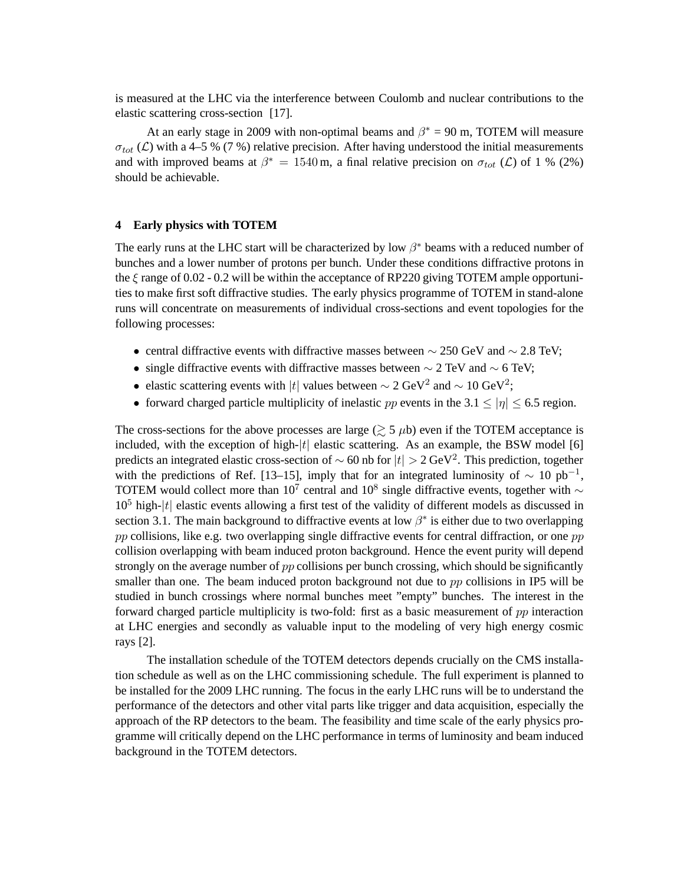is measured at the LHC via the interference between Coulomb and nuclear contributions to the elastic scattering cross-section [17].

At an early stage in 2009 with non-optimal beams and  $\beta^* = 90$  m, TOTEM will measure  $\sigma_{tot}$  (C) with a 4–5 % (7 %) relative precision. After having understood the initial measurements and with improved beams at  $\beta^* = 1540 \,\text{m}$ , a final relative precision on  $\sigma_{tot}$  ( $\mathcal{L}$ ) of 1 % (2%) should be achievable.

# **4 Early physics with TOTEM**

The early runs at the LHC start will be characterized by low  $\beta^*$  beams with a reduced number of bunches and a lower number of protons per bunch. Under these conditions diffractive protons in the  $\xi$  range of 0.02 - 0.2 will be within the acceptance of RP220 giving TOTEM ample opportunities to make first soft diffractive studies. The early physics programme of TOTEM in stand-alone runs will concentrate on measurements of individual cross-sections and event topologies for the following processes:

- central diffractive events with diffractive masses between  $\sim$  250 GeV and  $\sim$  2.8 TeV;
- single diffractive events with diffractive masses between  $\sim$  2 TeV and  $\sim$  6 TeV;
- elastic scattering events with |t| values between  $\sim 2 \text{ GeV}^2$  and  $\sim 10 \text{ GeV}^2$ ;
- forward charged particle multiplicity of inelastic pp events in the 3.1  $\leq |\eta| \leq 6.5$  region.

The cross-sections for the above processes are large  $($  $>$  5  $\mu$ b) even if the TOTEM acceptance is included, with the exception of high- $|t|$  elastic scattering. As an example, the BSW model [6] predicts an integrated elastic cross-section of  $\sim 60$  nb for  $|t| > 2$  GeV<sup>2</sup>. This prediction, together with the predictions of Ref. [13–15], imply that for an integrated luminosity of  $\sim 10 \text{ pb}^{-1}$ , TOTEM would collect more than 10<sup>7</sup> central and 10<sup>8</sup> single diffractive events, together with  $\sim$  $10<sup>5</sup>$  high- $|t|$  elastic events allowing a first test of the validity of different models as discussed in section 3.1. The main background to diffractive events at low  $\beta^*$  is either due to two overlapping pp collisions, like e.g. two overlapping single diffractive events for central diffraction, or one  $pp$ collision overlapping with beam induced proton background. Hence the event purity will depend strongly on the average number of  $pp$  collisions per bunch crossing, which should be significantly smaller than one. The beam induced proton background not due to pp collisions in IP5 will be studied in bunch crossings where normal bunches meet "empty" bunches. The interest in the forward charged particle multiplicity is two-fold: first as a basic measurement of pp interaction at LHC energies and secondly as valuable input to the modeling of very high energy cosmic rays [2].

The installation schedule of the TOTEM detectors depends crucially on the CMS installation schedule as well as on the LHC commissioning schedule. The full experiment is planned to be installed for the 2009 LHC running. The focus in the early LHC runs will be to understand the performance of the detectors and other vital parts like trigger and data acquisition, especially the approach of the RP detectors to the beam. The feasibility and time scale of the early physics programme will critically depend on the LHC performance in terms of luminosity and beam induced background in the TOTEM detectors.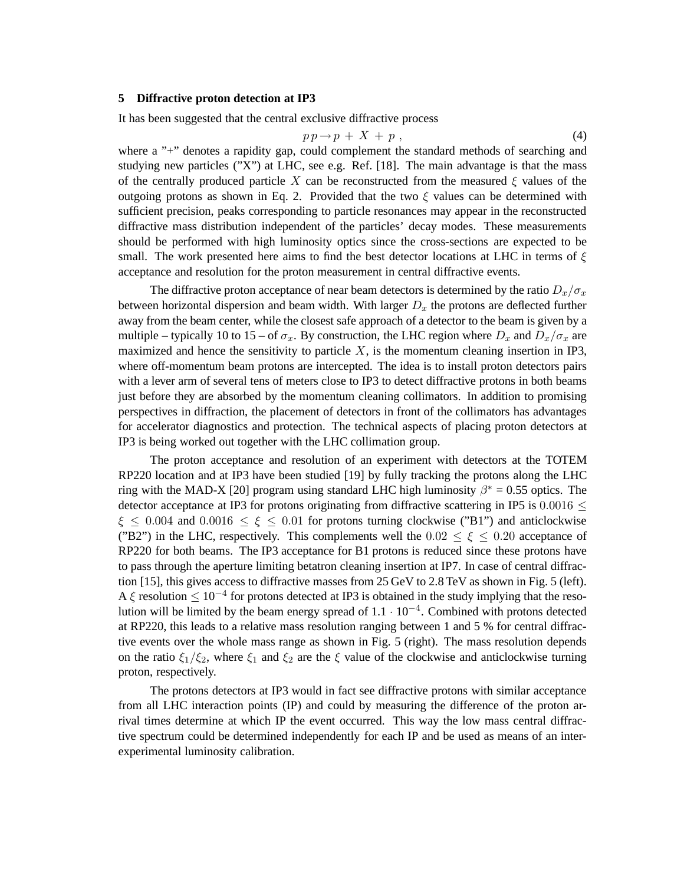### **5 Diffractive proton detection at IP3**

It has been suggested that the central exclusive diffractive process

$$
p\,p \to p\,+\,X\,+\,p\,\,,\tag{4}
$$

where a "+" denotes a rapidity gap, could complement the standard methods of searching and studying new particles ("X") at LHC, see e.g. Ref. [18]. The main advantage is that the mass of the centrally produced particle X can be reconstructed from the measured  $\xi$  values of the outgoing protons as shown in Eq. 2. Provided that the two  $\xi$  values can be determined with sufficient precision, peaks corresponding to particle resonances may appear in the reconstructed diffractive mass distribution independent of the particles' decay modes. These measurements should be performed with high luminosity optics since the cross-sections are expected to be small. The work presented here aims to find the best detector locations at LHC in terms of  $\xi$ acceptance and resolution for the proton measurement in central diffractive events.

The diffractive proton acceptance of near beam detectors is determined by the ratio  $D_x/\sigma_x$ between horizontal dispersion and beam width. With larger  $D_x$  the protons are deflected further away from the beam center, while the closest safe approach of a detector to the beam is given by a multiple – typically 10 to 15 – of  $\sigma_x$ . By construction, the LHC region where  $D_x$  and  $D_x/\sigma_x$  are maximized and hence the sensitivity to particle  $X$ , is the momentum cleaning insertion in IP3, where off-momentum beam protons are intercepted. The idea is to install proton detectors pairs with a lever arm of several tens of meters close to IP3 to detect diffractive protons in both beams just before they are absorbed by the momentum cleaning collimators. In addition to promising perspectives in diffraction, the placement of detectors in front of the collimators has advantages for accelerator diagnostics and protection. The technical aspects of placing proton detectors at IP3 is being worked out together with the LHC collimation group.

The proton acceptance and resolution of an experiment with detectors at the TOTEM RP220 location and at IP3 have been studied [19] by fully tracking the protons along the LHC ring with the MAD-X [20] program using standard LHC high luminosity  $\beta^* = 0.55$  optics. The detector acceptance at IP3 for protons originating from diffractive scattering in IP5 is  $0.0016 <$  $\xi \leq 0.004$  and  $0.0016 \leq \xi \leq 0.01$  for protons turning clockwise ("B1") and anticlockwise ("B2") in the LHC, respectively. This complements well the  $0.02 \le \xi \le 0.20$  acceptance of RP220 for both beams. The IP3 acceptance for B1 protons is reduced since these protons have to pass through the aperture limiting betatron cleaning insertion at IP7. In case of central diffraction [15], this gives access to diffractive masses from 25 GeV to 2.8 TeV as shown in Fig. 5 (left). A  $\xi$  resolution  $\leq 10^{-4}$  for protons detected at IP3 is obtained in the study implying that the resolution will be limited by the beam energy spread of  $1.1 \cdot 10^{-4}$ . Combined with protons detected at RP220, this leads to a relative mass resolution ranging between 1 and 5 % for central diffractive events over the whole mass range as shown in Fig. 5 (right). The mass resolution depends on the ratio  $\xi_1/\xi_2$ , where  $\xi_1$  and  $\xi_2$  are the  $\xi$  value of the clockwise and anticlockwise turning proton, respectively.

The protons detectors at IP3 would in fact see diffractive protons with similar acceptance from all LHC interaction points (IP) and could by measuring the difference of the proton arrival times determine at which IP the event occurred. This way the low mass central diffractive spectrum could be determined independently for each IP and be used as means of an interexperimental luminosity calibration.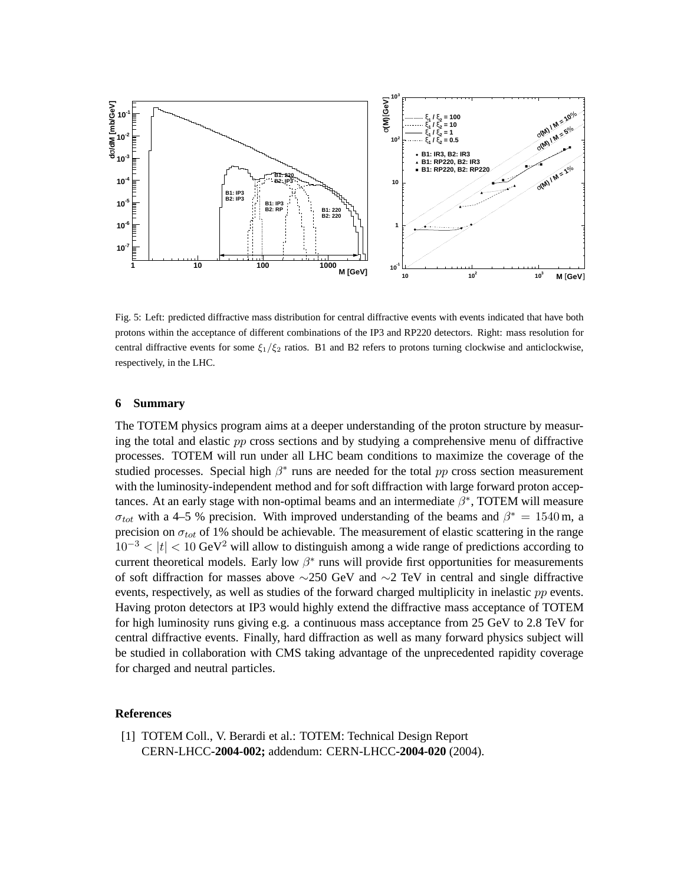

Fig. 5: Left: predicted diffractive mass distribution for central diffractive events with events indicated that have both protons within the acceptance of different combinations of the IP3 and RP220 detectors. Right: mass resolution for central diffractive events for some  $\xi_1/\xi_2$  ratios. B1 and B2 refers to protons turning clockwise and anticlockwise, respectively, in the LHC.

#### **6 Summary**

The TOTEM physics program aims at a deeper understanding of the proton structure by measuring the total and elastic pp cross sections and by studying a comprehensive menu of diffractive processes. TOTEM will run under all LHC beam conditions to maximize the coverage of the studied processes. Special high  $\beta^*$  runs are needed for the total  $pp$  cross section measurement with the luminosity-independent method and for soft diffraction with large forward proton acceptances. At an early stage with non-optimal beams and an intermediate  $\beta^*$ , TOTEM will measure  $\sigma_{tot}$  with a 4–5 % precision. With improved understanding of the beams and  $\beta^* = 1540 \,\text{m}$ , a precision on  $\sigma_{tot}$  of 1% should be achievable. The measurement of elastic scattering in the range  $10^{-3}$  <  $|t|$  < 10 GeV<sup>2</sup> will allow to distinguish among a wide range of predictions according to current theoretical models. Early low  $\beta^*$  runs will provide first opportunities for measurements of soft diffraction for masses above ∼250 GeV and ∼2 TeV in central and single diffractive events, respectively, as well as studies of the forward charged multiplicity in inelastic pp events. Having proton detectors at IP3 would highly extend the diffractive mass acceptance of TOTEM for high luminosity runs giving e.g. a continuous mass acceptance from 25 GeV to 2.8 TeV for central diffractive events. Finally, hard diffraction as well as many forward physics subject will be studied in collaboration with CMS taking advantage of the unprecedented rapidity coverage for charged and neutral particles.

## **References**

[1] TOTEM Coll., V. Berardi et al.: TOTEM: Technical Design Report CERN-LHCC**-2004-002;** addendum: CERN-LHCC**-2004-020** (2004).